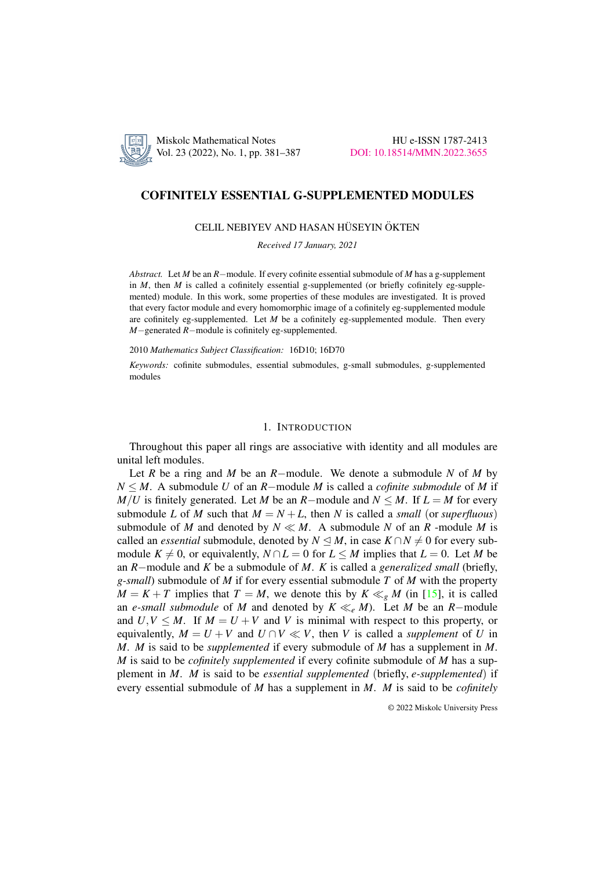

# COFINITELY ESSENTIAL G-SUPPLEMENTED MODULES

# CELIL NEBIYEV AND HASAN HÜSEYIN ÖKTEN

*Received 17 January, 2021*

*Abstract.* Let *M* be an *R*−module. If every cofinite essential submodule of *M* has a g-supplement in *M*, then *M* is called a cofinitely essential g-supplemented (or briefly cofinitely eg-supplemented) module. In this work, some properties of these modules are investigated. It is proved that every factor module and every homomorphic image of a cofinitely eg-supplemented module are cofinitely eg-supplemented. Let *M* be a cofinitely eg-supplemented module. Then every *M*−generated *R*−module is cofinitely eg-supplemented.

#### 2010 *Mathematics Subject Classification:* 16D10; 16D70

*Keywords:* cofinite submodules, essential submodules, g-small submodules, g-supplemented modules

## 1. INTRODUCTION

Throughout this paper all rings are associative with identity and all modules are unital left modules.

Let *R* be a ring and *M* be an *R*−module. We denote a submodule *N* of *M* by *N* ≤ *M*. A submodule *U* of an *R*−module *M* is called a *cofinite submodule* of *M* if *M*/*U* is finitely generated. Let *M* be an *R*−module and  $N \leq M$ . If  $L = M$  for every submodule *L* of *M* such that  $M = N + L$ , then *N* is called a *small* (or *superfluous*) submodule of *M* and denoted by  $N \ll M$ . A submodule *N* of an *R* -module *M* is called an *essential* submodule, denoted by  $N \leq M$ , in case  $K \cap N \neq 0$  for every submodule  $K \neq 0$ , or equivalently,  $N \cap L = 0$  for  $L \leq M$  implies that  $L = 0$ . Let M be an *R*−module and *K* be a submodule of *M*. *K* is called a *generalized small* (briefly, *g-small*) submodule of *M* if for every essential submodule *T* of *M* with the property  $M = K + T$  implies that  $T = M$ , we denote this by  $K \ll_{g} M$  (in [\[15\]](#page-6-0), it is called an *e-small submodule* of *M* and denoted by  $K \ll_e M$ ). Let *M* be an *R*−module and  $U, V \leq M$ . If  $M = U + V$  and *V* is minimal with respect to this property, or equivalently,  $M = U + V$  and  $U \cap V \ll V$ , then V is called a *supplement* of U in *M*. *M* is said to be *supplemented* if every submodule of *M* has a supplement in *M*. *M* is said to be *cofinitely supplemented* if every cofinite submodule of *M* has a supplement in *M*. *M* is said to be *essential supplemented* (briefly, *e-supplemented*) if every essential submodule of *M* has a supplement in *M*. *M* is said to be *cofinitely*

© 2022 Miskolc University Press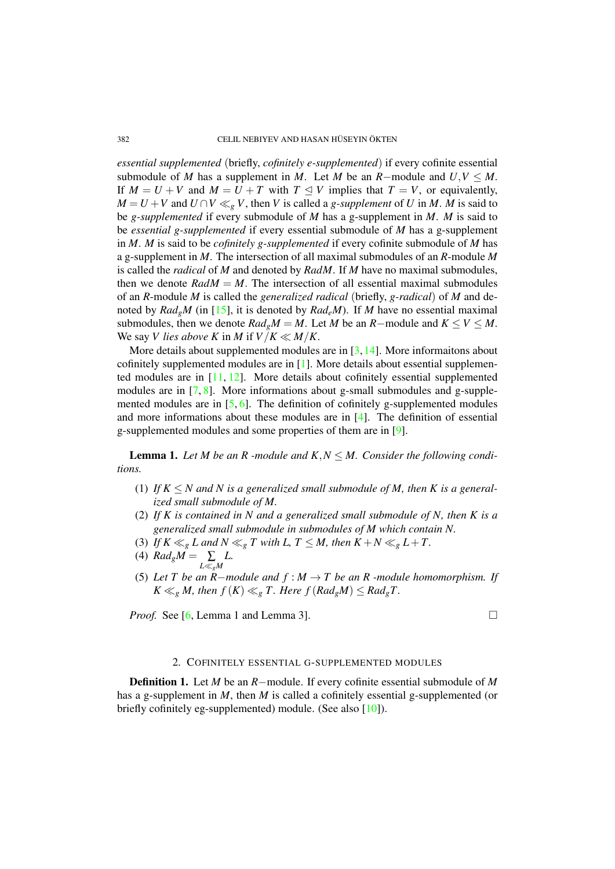*essential supplemented* (briefly, *cofinitely e-supplemented*) if every cofinite essential submodule of *M* has a supplement in *M*. Let *M* be an *R*−module and  $U, V \leq M$ . If  $M = U + V$  and  $M = U + T$  with  $T \leq V$  implies that  $T = V$ , or equivalently, *M* = *U* + *V* and *U* ∩*V* ≪<sub>*g*</sub> *V*, then *V* is called a *g*-*supplement* of *U* in *M*. *M* is said to be *g-supplemented* if every submodule of *M* has a g-supplement in *M*. *M* is said to be *essential g-supplemented* if every essential submodule of *M* has a g-supplement in *M*. *M* is said to be *cofinitely g-supplemented* if every cofinite submodule of *M* has a g-supplement in *M*. The intersection of all maximal submodules of an *R*-module *M* is called the *radical* of *M* and denoted by *RadM*. If *M* have no maximal submodules, then we denote  $RadM = M$ . The intersection of all essential maximal submodules of an *R*-module *M* is called the *generalized radical* (briefly, *g-radical*) of *M* and denoted by  $Rad_{P}M$  (in [\[15\]](#page-6-0), it is denoted by  $Rad_{P}M$ ). If M have no essential maximal submodules, then we denote  $Rad_{g}M = M$ . Let *M* be an *R*−module and  $K \leq V \leq M$ . We say *V* lies above *K* in *M* if  $V/K \ll M/K$ .

More details about supplemented modules are in  $[3,14]$  $[3,14]$ . More informaitons about cofinitely supplemented modules are in [\[1\]](#page-5-0). More details about essential supplemented modules are in [\[11,](#page-6-3) [12\]](#page-6-4). More details about cofinitely essential supplemented modules are in [\[7,](#page-6-5) [8\]](#page-6-6). More informations about g-small submodules and g-supplemented modules are in  $[5, 6]$  $[5, 6]$  $[5, 6]$ . The definition of cofinitely g-supplemented modules and more informations about these modules are in [\[4\]](#page-6-9). The definition of essential g-supplemented modules and some properties of them are in [\[9\]](#page-6-10).

<span id="page-1-0"></span>**Lemma 1.** Let *M* be an *R* -module and  $K, N \leq M$ . Consider the following condi*tions.*

- (1) If  $K \leq N$  and N is a generalized small submodule of M, then K is a general*ized small submodule of M.*
- (2) *If K is contained in N and a generalized small submodule of N, then K is a generalized small submodule in submodules of M which contain N.*
- (3) *If*  $K \ll_g L$  and  $N \ll_g T$  with  $L, T \leq M$ , then  $K + N \ll_g L + T$ .
- (4)  $Rad_{g}M = \sum_{L \ll_{g}M}$ *L.*
- (5) *Let T be an R*−*module and f* : *M* → *T be an R -module homomorphism. If*  $K \ll_g M$ , then  $f(K) \ll_g T$ . Here  $f(Rad_gM) \leq Rad_gT$ .

*Proof.* See  $[6,$  Lemma 1 and Lemma 3].  $\Box$ 

# 2. COFINITELY ESSENTIAL G-SUPPLEMENTED MODULES

Definition 1. Let *M* be an *R*−module. If every cofinite essential submodule of *M* has a g-supplement in *M*, then *M* is called a cofinitely essential g-supplemented (or briefly cofinitely eg-supplemented) module. (See also [\[10\]](#page-6-11)).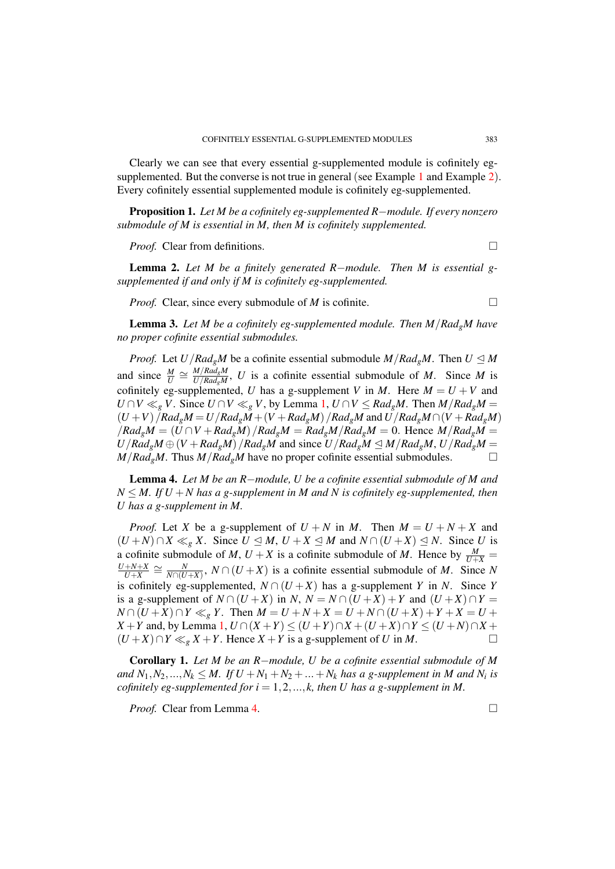Clearly we can see that every essential g-supplemented module is cofinitely eg-supplemented. But the converse is not true in general (see Example [1](#page-5-1) and Example [2](#page-5-2)). Every cofinitely essential supplemented module is cofinitely eg-supplemented.

Proposition 1. *Let M be a cofinitely eg-supplemented R*−*module. If every nonzero submodule of M is essential in M, then M is cofinitely supplemented.*

*Proof.* Clear from definitions. □

<span id="page-2-2"></span>Lemma 2. *Let M be a finitely generated R*−*module. Then M is essential gsupplemented if and only if M is cofinitely eg-supplemented.*

*Proof.* Clear, since every submodule of *M* is cofinite. □

Lemma 3. *Let M be a cofinitely eg-supplemented module. Then M*/*RadgM have no proper cofinite essential submodules.*

*Proof.* Let  $U/Rad_gM$  be a cofinite essential submodule  $M/Rad_gM$ . Then  $U \leq M$ and since  $\frac{M}{U} \cong \frac{M/Rad_gM}{U/Rad_gM}$  $\frac{M}{U/Rad_{g}M}$ , *U* is a cofinite essential submodule of *M*. Since *M* is cofinitely eg-supplemented, *U* has a g-supplement *V* in *M*. Here  $M = U + V$  and *U* ∩ *V* ≪<sub>*g*</sub> *V*. Since *U* ∩ *V* ≪<sub>*g*</sub> *V*, by Lemma [1,](#page-1-0) *U* ∩ *V* ≤ *Rad<sub><i>g</sub>M*. Then *M*/*Rad<sub><i>g*</sub>*M* =</sub>  $(U+V)/Rad_{g}M=U/Rad_{g}M+(V+Rad_{g}M)/Rad_{g}M$  and  $U/Rad_{g}M\cap (V+Rad_{g}M)$  $/Rad_{g}M = (U \cap V + Rad_{g}M)$  /*Rad<sub>g</sub>M* = *Rad<sub>g</sub>M* /*Rad<sub>g</sub>M* = 0. Hence  $M/Rad_{g}M$  =  $U/Rad_gM \oplus (V+Rad_gM)/Rad_gM$  and since  $U/Rad_gM \leq M/Rad_gM$ ,  $U/Rad_gM =$  $M/Rad_{\varrho}M$ . Thus  $M/Rad_{\varrho}M$  have no proper cofinite essential submodules.  $\Box$ 

<span id="page-2-0"></span>Lemma 4. *Let M be an R*−*module, U be a cofinite essential submodule of M and*  $N \leq M$ . If  $U + N$  has a g-supplement in M and N is cofinitely eg-supplemented, then *U has a g-supplement in M.*

*Proof.* Let *X* be a g-supplement of  $U + N$  in *M*. Then  $M = U + N + X$  and  $(U + N) ∩ X \ll_{g} X$ . Since  $U ⊆ M$ ,  $U + X ⊆ M$  and  $N ∩ (U + X) ⊆ N$ . Since *U* is a cofinite submodule of *M*,  $U + X$  is a cofinite submodule of *M*. Hence by  $\frac{M}{U+X}$  = *U*+*N*+*X*  $\frac{N+N+X}{U+X} \cong \frac{N}{N\cap(U)}$  $\frac{N}{N \cap (U+X)}$ ,  $N \cap (U+X)$  is a cofinite essential submodule of *M*. Since *N* is cofinitely eg-supplemented,  $N \cap (U + X)$  has a g-supplement *Y* in *N*. Since *Y* is a g-supplement of  $N \cap (U + X)$  in  $N$ ,  $N = N \cap (U + X) + Y$  and  $(U + X) \cap Y =$ *N* ∩  $(U+X)$  ∩  $Y \ll_{g} Y$ . Then  $M = U + N + X = U + N$  ∩  $(U+X) + Y + X = U +$ *X* + *Y* and, by Lemma [1,](#page-1-0)  $U \cap (X + Y) \le (U + Y) \cap X + (U + X) \cap Y \le (U + N) \cap X + (U + Y) \cap Y$  $(U+X) ∩ Y \ll_g X+Y$ . Hence  $X+Y$  is a g-supplement of *U* in *M*. □

<span id="page-2-1"></span>Corollary 1. *Let M be an R*−*module, U be a cofinite essential submodule of M and*  $N_1, N_2, ..., N_k \leq M$ . If  $U + N_1 + N_2 + ... + N_k$  has a g-supplement in M and  $N_i$  is *cofinitely eg-supplemented for i* = 1,2,..., $k$ , then U has a g-supplement in M.

*Proof.* Clear from Lemma [4.](#page-2-0) □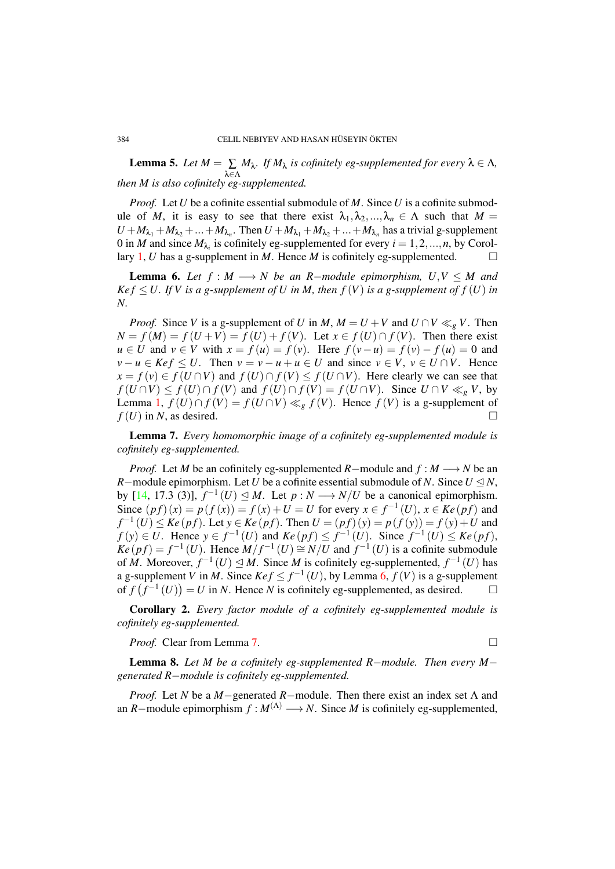<span id="page-3-2"></span>**Lemma 5.** Let  $M = \sum_{\lambda \in \Lambda} M_{\lambda}$ . If  $M_{\lambda}$  is cofinitely eg-supplemented for every  $\lambda \in \Lambda$ , *then M is also cofinitely eg-supplemented.*

*Proof.* Let *U* be a cofinite essential submodule of *M*. Since *U* is a cofinite submodule of *M*, it is easy to see that there exist  $\lambda_1, \lambda_2, ..., \lambda_n \in \Lambda$  such that  $M =$  $U + M_{\lambda_1} + M_{\lambda_2} + ... + M_{\lambda_n}$ . Then  $U + M_{\lambda_1} + M_{\lambda_2} + ... + M_{\lambda_n}$  has a trivial g-supplement 0 in *M* and since  $M_{\lambda_i}$  is cofinitely eg-supplemented for every  $i = 1, 2, ..., n$ , by Corol-lary [1,](#page-2-1) *U* has a g-supplement in *M*. Hence *M* is cofinitely eg-supplemented.  $\Box$ 

<span id="page-3-0"></span>**Lemma 6.** Let  $f : M \longrightarrow N$  be an R-module epimorphism,  $U, V \leq M$  and  $Kef \leq U$ . If V is a g-supplement of U in M, then  $f(V)$  is a g-supplement of  $f(U)$  in *N.*

*Proof.* Since *V* is a g-supplement of *U* in *M*,  $M = U + V$  and  $U \cap V \ll_{g} V$ . Then  $N = f(M) = f(U + V) = \overline{f}(U) + f(V)$ . Let  $x \in f(U) \cap f(V)$ . Then there exist *u* ∈ *U* and *v* ∈ *V* with  $x = f(u) = f(v)$ . Here  $f(v - u) = f(v) - f(u) = 0$  and  $v - u \in \text{Kef } \leq U$ . Then  $v = v - u + u \in U$  and since  $v \in V$ ,  $v \in U \cap V$ . Hence *x* = *f* (*v*) ∈ *f* (*U* ∩*V*) and *f* (*U*) ∩ *f* (*V*) ≤ *f* (*U* ∩*V*). Here clearly we can see that  $f(U \cap V) \leq f(U) \cap f(V)$  and  $f(U) \cap f(V) = f(U \cap V)$ . Since  $U \cap V \ll_{\varrho} V$ , by Lemma [1,](#page-1-0)  $f(U) \cap f(V) = f(U \cap V) \ll_g f(V)$ . Hence  $f(V)$  is a g-supplement of  $f(U)$  in *N*, as desired.

<span id="page-3-1"></span>Lemma 7. *Every homomorphic image of a cofinitely eg-supplemented module is cofinitely eg-supplemented.*

*Proof.* Let *M* be an cofinitely eg-supplemented *R*−module and  $f : M \rightarrow N$  be an *R*−module epimorphism. Let *U* be a cofinite essential submodule of *N*. Since  $U \trianglelefteq N$ , by [\[14,](#page-6-2) 17.3 (3)],  $f^{-1}(U) \leq M$ . Let  $p: N \longrightarrow N/U$  be a canonical epimorphism. Since  $(p f)(x) = p(f(x)) = f(x) + U = U$  for every  $x \in f^{-1}(U)$ ,  $x \in Ke(pf)$  and *f*<sup>-1</sup>(*U*) ≤ *Ke* (*pf*). Let *y* ∈ *Ke* (*pf*). Then  $U = (pf)(y) = p(f(y)) = f(y) + U$  and *f*(*y*) ∈ *U*. Hence  $y \in f^{-1}(U)$  and  $Ke(pf) \le f^{-1}(U)$ . Since  $f^{-1}(U) \le Ke(pf)$ ,  $Ke(p f) = f^{-1}(U)$ . Hence  $M/f^{-1}(U) \cong N/U$  and  $f^{-1}(U)$  is a cofinite submodule of *M*. Moreover,  $f^{-1}(U) \leq M$ . Since *M* is cofinitely eg-supplemented,  $f^{-1}(U)$  has a g-supplement *V* in *M*. Since  $Kef \leq f^{-1}(U)$ , by Lemma [6,](#page-3-0)  $f(V)$  is a g-supplement of  $f(f^{-1}(U)) = U$  in *N*. Hence *N* is cofinitely eg-supplemented, as desired. □

Corollary 2. *Every factor module of a cofinitely eg-supplemented module is cofinitely eg-supplemented.*

*Proof.* Clear from Lemma [7.](#page-3-1) □

<span id="page-3-3"></span>Lemma 8. *Let M be a cofinitely eg-supplemented R*−*module. Then every M*− *generated R*−*module is cofinitely eg-supplemented.*

*Proof.* Let *N* be a *M*−generated *R*−module. Then there exist an index set Λ and an *R*−module epimorphism  $f : M^{(\Lambda)} \longrightarrow N$ . Since *M* is cofinitely eg-supplemented,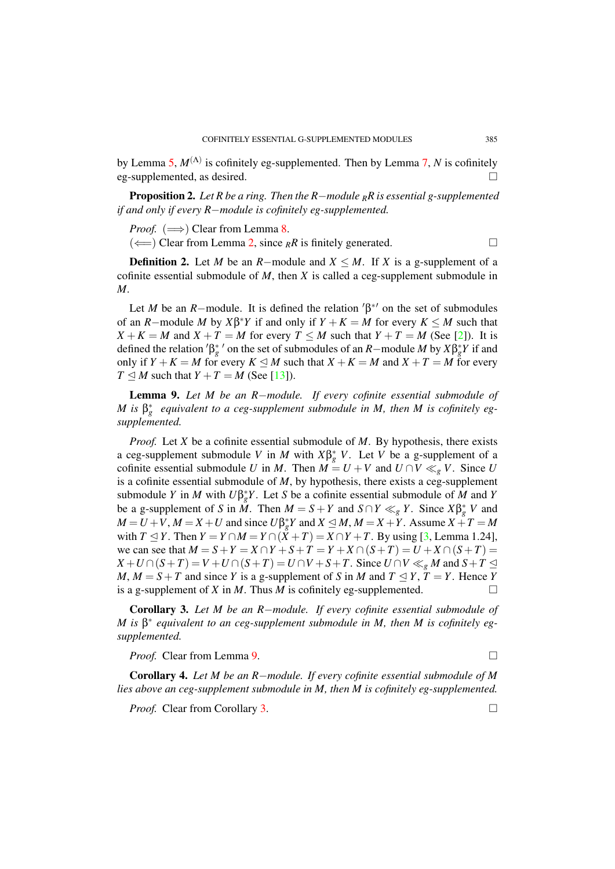by Lemma [5,](#page-3-2) *M*(Λ) is cofinitely eg-supplemented. Then by Lemma [7,](#page-3-1) *N* is cofinitely eg-supplemented, as desired.

Proposition 2. *Let R be a ring. Then the R*−*module <sup>R</sup>R is essential g-supplemented if and only if every R*−*module is cofinitely eg-supplemented.*

*Proof.* ( $\implies$ ) Clear from Lemma [8.](#page-3-3)

( $\Longleftarrow$ ) Clear from Lemma [2,](#page-2-2) since <sub>R</sub>R is finitely generated. □

**Definition 2.** Let *M* be an *R*−module and  $X \leq M$ . If *X* is a g-supplement of a cofinite essential submodule of *M*, then *X* is called a ceg-supplement submodule in *M*.

Let *M* be an *R*−module. It is defined the relation  $\beta^{*'}$  on the set of submodules of an *R*−module *M* by  $X\beta^*Y$  if and only if  $Y + K = M$  for every  $K \leq M$  such that  $X + K = M$  and  $X + T = M$  for every  $T \leq M$  such that  $Y + T = M$  (See [\[2\]](#page-5-3)). It is defined the relation  $\beta_g^*$  on the set of submodules of an *R*−module *M* by  $X\beta_g^*Y$  if and only if *Y* + *K* = *M* for every *K* ≤ *M* such that *X* + *K* = *M* and *X* + *T* = *M* for every  $T \leq M$  such that  $Y + T = M$  (See [\[13\]](#page-6-12)).

<span id="page-4-0"></span>Lemma 9. *Let M be an R*−*module. If every cofinite essential submodule of M* is  $\beta_g^*$  equivalent to a ceg-supplement submodule in *M*, then *M* is cofinitely eg*supplemented.*

*Proof.* Let *X* be a cofinite essential submodule of *M*. By hypothesis, there exists a ceg-supplement submodule *V* in *M* with  $X\beta_g^*$  *V*. Let *V* be a g-supplement of a cofinite essential submodule *U* in *M*. Then  $\overrightarrow{M} = U + V$  and  $U \cap V \ll_{\varrho} V$ . Since *U* is a cofinite essential submodule of *M*, by hypothesis, there exists a ceg-supplement submodule *Y* in *M* with  $U\beta_g^*Y$ . Let *S* be a cofinite essential submodule of *M* and *Y* be a g-supplement of *S* in *M*. Then  $M = S + Y$  and  $S \cap Y \ll_g Y$ . Since  $X \beta_g^* V$  and  $M = U + V$ ,  $M = X + U$  and since  $U\beta_g^* Y$  and  $X \le M$ ,  $M = X + Y$ . Assume  $X + T = M$ with  $T \leq Y$ . Then  $Y = Y \cap M = Y \cap (\tilde{X} + T) = X \cap Y + T$ . By using [\[3,](#page-6-1) Lemma 1.24], we can see that  $M = S + Y = X \cap Y + S + T = Y + X \cap (S + T) = U + X \cap (S + T) =$  $X + U \cap (S + T) = V + U \cap (S + T) = U \cap V + S + T$ . Since  $U \cap V \ll_{g} M$  and  $S + T \leq$ *M*, *M* = *S* + *T* and since *Y* is a g-supplement of *S* in *M* and  $T \leq Y$ ,  $T = Y$ . Hence *Y* is a g-supplement of *X* in *M*. Thus *M* is cofinitely eg-supplemented.  $\Box$ 

<span id="page-4-1"></span>Corollary 3. *Let M be an R*−*module. If every cofinite essential submodule of M is* β ∗ *equivalent to an ceg-supplement submodule in M, then M is cofinitely egsupplemented.*

*Proof.* Clear from Lemma [9.](#page-4-0) □

<span id="page-4-2"></span>Corollary 4. *Let M be an R*−*module. If every cofinite essential submodule of M lies above an ceg-supplement submodule in M, then M is cofinitely eg-supplemented.*

*Proof.* Clear from Corollary [3.](#page-4-1) □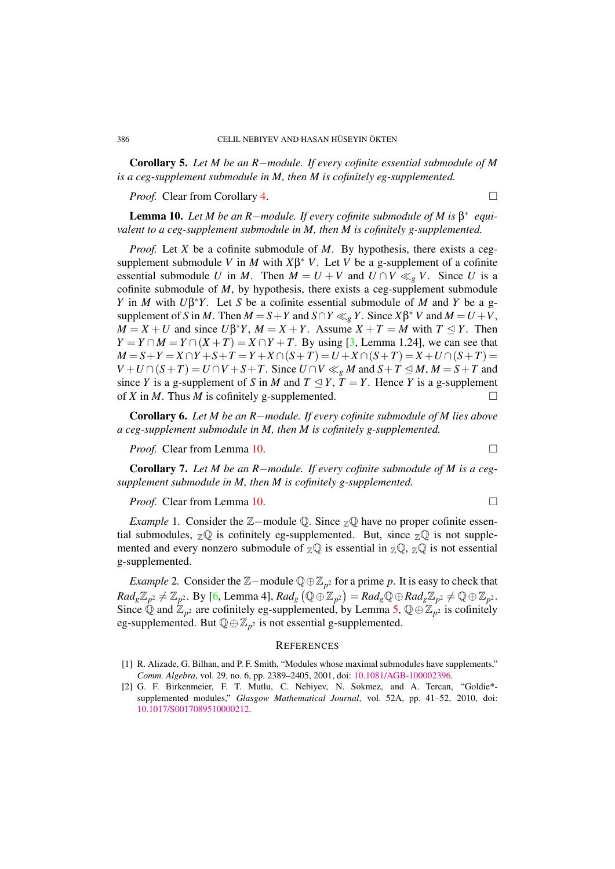Corollary 5. *Let M be an R*−*module. If every cofinite essential submodule of M is a ceg-supplement submodule in M, then M is cofinitely eg-supplemented.*

*Proof.* Clear from Corollary [4.](#page-4-2) □

<span id="page-5-4"></span>**Lemma 10.** Let M be an R-module. If every cofinite submodule of M is  $\beta^*$  equi*valent to a ceg-supplement submodule in M, then M is cofinitely g-supplemented.*

*Proof.* Let *X* be a cofinite submodule of *M*. By hypothesis, there exists a cegsupplement submodule *V* in *M* with  $X\beta^*$  *V*. Let *V* be a g-supplement of a cofinite essential submodule *U* in *M*. Then  $M = U + V$  and  $U \cap V \ll_g V$ . Since *U* is a cofinite submodule of *M*, by hypothesis, there exists a ceg-supplement submodule *Y* in *M* with *U*β <sup>∗</sup>*Y*. Let *S* be a cofinite essential submodule of *M* and *Y* be a gsupplement of *S* in *M*. Then  $M = S + Y$  and  $S \cap Y \ll_g Y$ . Since  $X\beta^* V$  and  $M = U + V$ ,  $M = X + U$  and since  $U\beta^*Y$ ,  $M = X + Y$ . Assume  $X + T = M$  with  $T \leq Y$ . Then  $Y = Y \cap M = Y \cap (X + T) = X \cap Y + T$ . By using [\[3,](#page-6-1) Lemma 1.24], we can see that *M* = *S* + *Y* = *X* ∩ *Y* + *S* + *T* = *Y* + *X* ∩ (*S* + *T*) = *U* + *X* ∩ (*S* + *T*) = *X* + *U* ∩ (*S* + *T*) =  $V + U \cap (S + T) = U \cap V + S + T$ . Since  $U \cap V \ll_{g} M$  and  $S + T \leq M, M = S + T$  and since *Y* is a g-supplement of *S* in *M* and  $T \leq Y$ ,  $T = Y$ . Hence *Y* is a g-supplement of *X* in *M*. Thus *M* is cofinitely g-supplemented.  $\Box$ 

Corollary 6. *Let M be an R*−*module. If every cofinite submodule of M lies above a ceg-supplement submodule in M, then M is cofinitely g-supplemented.*

*Proof.* Clear from Lemma [10.](#page-5-4) □

Corollary 7. *Let M be an R*−*module. If every cofinite submodule of M is a cegsupplement submodule in M, then M is cofinitely g-supplemented.*

*Proof.* Clear from Lemma [10.](#page-5-4) □

<span id="page-5-1"></span>*Example* 1. Consider the Z–module Q. Since <sub>Z</sub>Q have no proper cofinite essential submodules,  $\mathbb{Z} \mathbb{Q}$  is cofinitely eg-supplemented. But, since  $\mathbb{Z} \mathbb{Q}$  is not supplemented and every nonzero submodule of  $\mathbb{Z}^{\mathbb{Q}}$  is essential in  $\mathbb{Z}^{\mathbb{Q}}$ ,  $\mathbb{Z}^{\mathbb{Q}}$  is not essential g-supplemented.

<span id="page-5-2"></span>*Example* 2. Consider the  $\mathbb{Z}-$ module  $\mathbb{Q} \oplus \mathbb{Z}_{p^2}$  for a prime *p*. It is easy to check that  $Rad_{g}\mathbb{Z}_{p^2}\neq \mathbb{Z}_{p^2}$ . By [\[6,](#page-6-8) Lemma 4],  $Rad_{g}\left(\mathbb{Q}\oplus \mathbb{Z}_{p^2}\right)=Rad_{g}\mathbb{Q}\oplus Rad_{g}\mathbb{Z}_{p^2}\neq \mathbb{Q}\oplus \mathbb{Z}_{p^2}.$ Since  $\bar{Q}$  and  $\bar{Z}_{p^2}$  are cofinitely eg-supplemented, by Lemma [5,](#page-3-2)  $Q \oplus \bar{Z}_{p^2}$  is cofinitely eg-supplemented. But  $\mathbb{Q} \oplus \mathbb{Z}_{p^2}$  is not essential g-supplemented.

### **REFERENCES**

- <span id="page-5-0"></span>[1] R. Alizade, G. Bilhan, and P. F. Smith, "Modules whose maximal submodules have supplements," *Comm. Algebra*, vol. 29, no. 6, pp. 2389–2405, 2001, doi: [10.1081/AGB-100002396.](http://dx.doi.org/10.1081/AGB-100002396)
- <span id="page-5-3"></span>[2] G. F. Birkenmeier, F. T. Mutlu, C. Nebiyev, N. Sokmez, and A. Tercan, "Goldie\* supplemented modules," *Glasgow Mathematical Journal*, vol. 52A, pp. 41–52, 2010, doi: [10.1017/S0017089510000212.](http://dx.doi.org/10.1017/S0017089510000212)